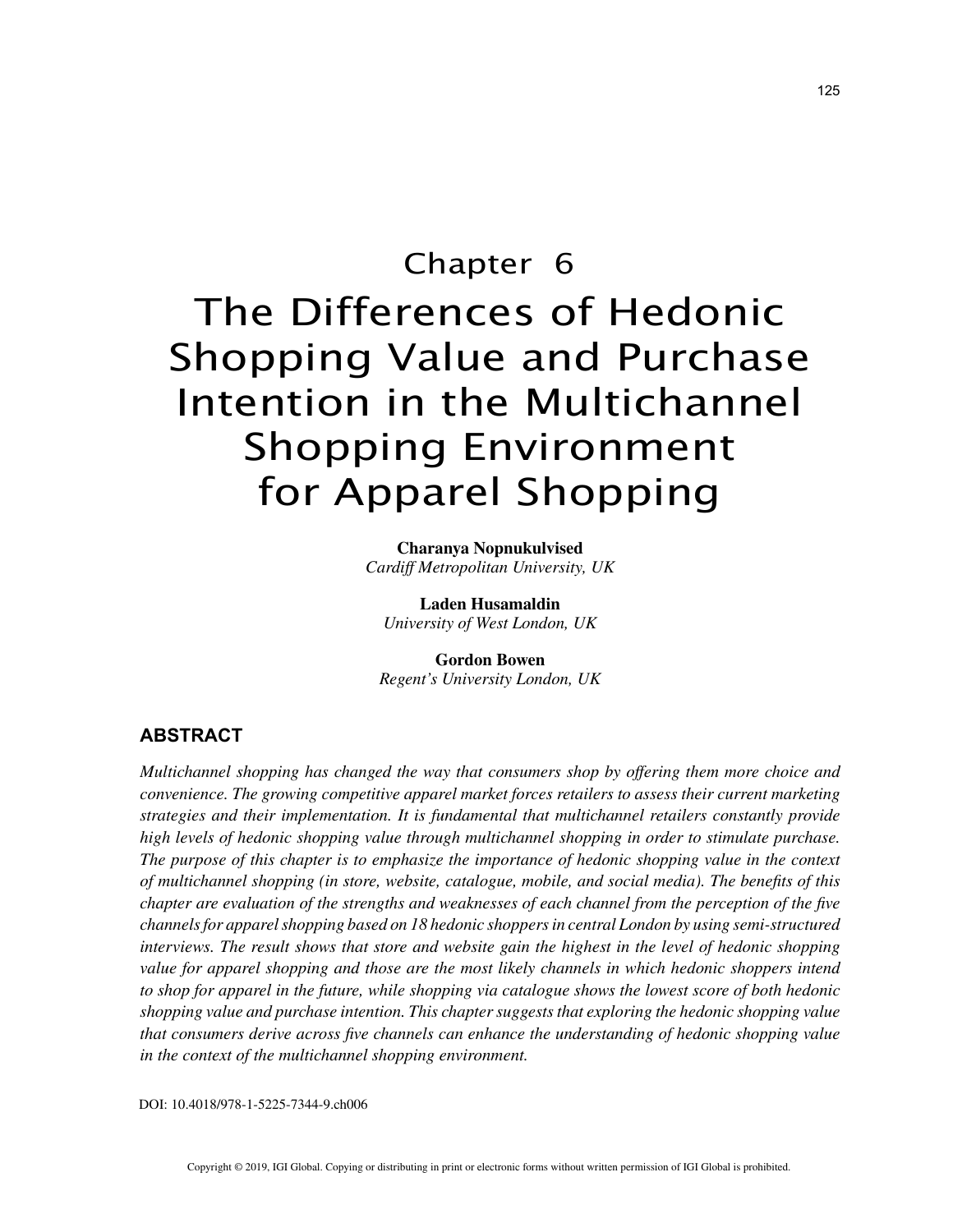# Chapter 6 The Differences of Hedonic Shopping Value and Purchase Intention in the Multichannel Shopping Environment for Apparel Shopping

**Charanya Nopnukulvised** *Cardiff Metropolitan University, UK*

**Laden Husamaldin** *University of West London, UK*

**Gordon Bowen** *Regent's University London, UK*

## **ABSTRACT**

*Multichannel shopping has changed the way that consumers shop by offering them more choice and convenience. The growing competitive apparel market forces retailers to assess their current marketing strategies and their implementation. It is fundamental that multichannel retailers constantly provide high levels of hedonic shopping value through multichannel shopping in order to stimulate purchase. The purpose of this chapter is to emphasize the importance of hedonic shopping value in the context of multichannel shopping (in store, website, catalogue, mobile, and social media). The benefits of this chapter are evaluation of the strengths and weaknesses of each channel from the perception of the five channels for apparel shopping based on 18 hedonic shoppers in central London by using semi-structured interviews. The result shows that store and website gain the highest in the level of hedonic shopping value for apparel shopping and those are the most likely channels in which hedonic shoppers intend to shop for apparel in the future, while shopping via catalogue shows the lowest score of both hedonic shopping value and purchase intention. This chapter suggests that exploring the hedonic shopping value that consumers derive across five channels can enhance the understanding of hedonic shopping value in the context of the multichannel shopping environment.*

DOI: 10.4018/978-1-5225-7344-9.ch006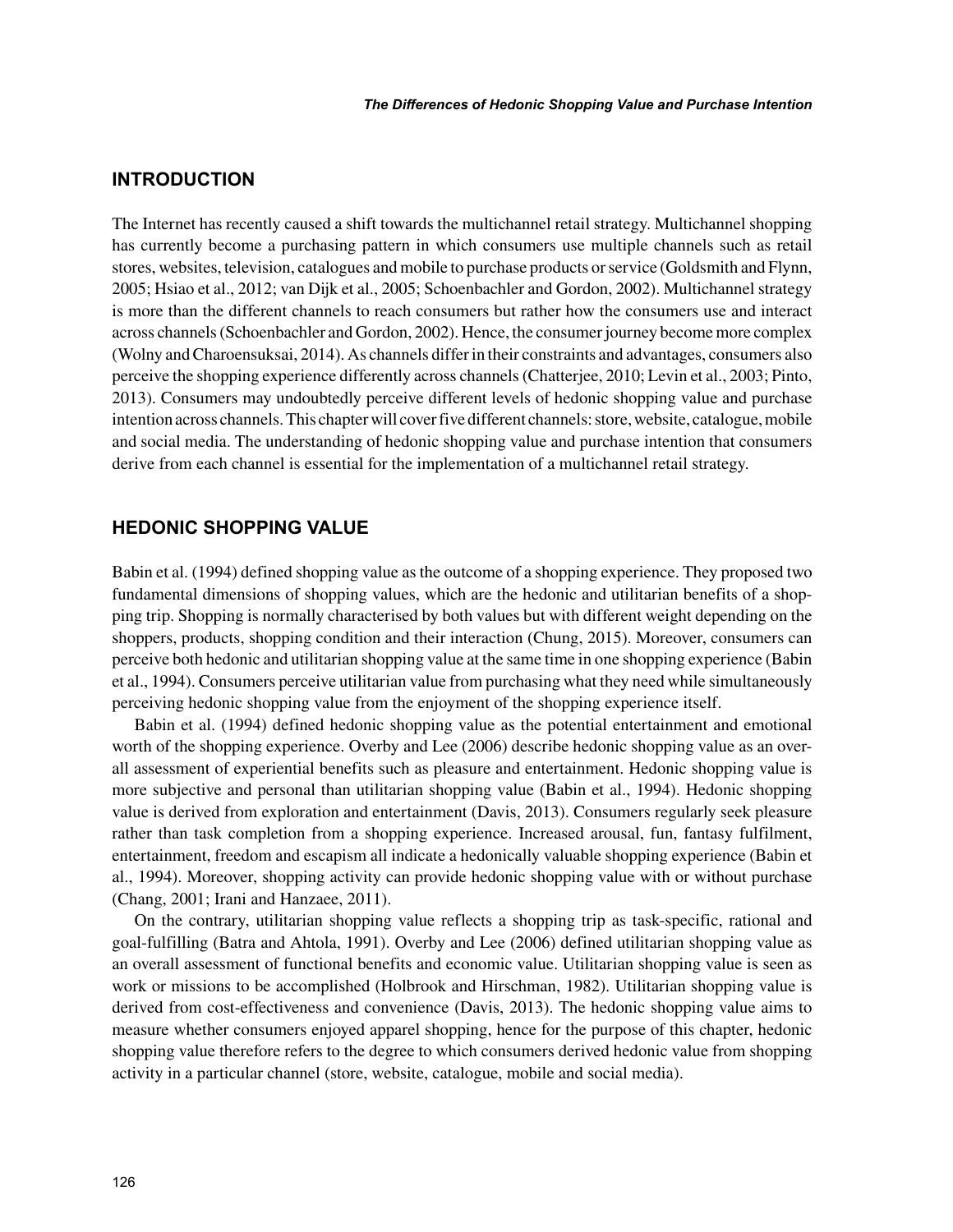# **INTRODUCTION**

The Internet has recently caused a shift towards the multichannel retail strategy. Multichannel shopping has currently become a purchasing pattern in which consumers use multiple channels such as retail stores, websites, television, catalogues and mobile to purchase products or service (Goldsmith and Flynn, 2005; Hsiao et al., 2012; van Dijk et al., 2005; Schoenbachler and Gordon, 2002). Multichannel strategy is more than the different channels to reach consumers but rather how the consumers use and interact across channels (Schoenbachler and Gordon, 2002). Hence, the consumer journey become more complex (Wolny and Charoensuksai, 2014). As channels differ in their constraints and advantages, consumers also perceive the shopping experience differently across channels (Chatterjee, 2010; Levin et al., 2003; Pinto, 2013). Consumers may undoubtedly perceive different levels of hedonic shopping value and purchase intention across channels. This chapter will cover five different channels: store, website, catalogue, mobile and social media. The understanding of hedonic shopping value and purchase intention that consumers derive from each channel is essential for the implementation of a multichannel retail strategy.

## **HEDONIC SHOPPING VALUE**

Babin et al. (1994) defined shopping value as the outcome of a shopping experience. They proposed two fundamental dimensions of shopping values, which are the hedonic and utilitarian benefits of a shopping trip. Shopping is normally characterised by both values but with different weight depending on the shoppers, products, shopping condition and their interaction (Chung, 2015). Moreover, consumers can perceive both hedonic and utilitarian shopping value at the same time in one shopping experience (Babin et al., 1994). Consumers perceive utilitarian value from purchasing what they need while simultaneously perceiving hedonic shopping value from the enjoyment of the shopping experience itself.

Babin et al. (1994) defined hedonic shopping value as the potential entertainment and emotional worth of the shopping experience. Overby and Lee (2006) describe hedonic shopping value as an overall assessment of experiential benefits such as pleasure and entertainment. Hedonic shopping value is more subjective and personal than utilitarian shopping value (Babin et al., 1994). Hedonic shopping value is derived from exploration and entertainment (Davis, 2013). Consumers regularly seek pleasure rather than task completion from a shopping experience. Increased arousal, fun, fantasy fulfilment, entertainment, freedom and escapism all indicate a hedonically valuable shopping experience (Babin et al., 1994). Moreover, shopping activity can provide hedonic shopping value with or without purchase (Chang, 2001; Irani and Hanzaee, 2011).

On the contrary, utilitarian shopping value reflects a shopping trip as task-specific, rational and goal-fulfilling (Batra and Ahtola, 1991). Overby and Lee (2006) defined utilitarian shopping value as an overall assessment of functional benefits and economic value. Utilitarian shopping value is seen as work or missions to be accomplished (Holbrook and Hirschman, 1982). Utilitarian shopping value is derived from cost-effectiveness and convenience (Davis, 2013). The hedonic shopping value aims to measure whether consumers enjoyed apparel shopping, hence for the purpose of this chapter, hedonic shopping value therefore refers to the degree to which consumers derived hedonic value from shopping activity in a particular channel (store, website, catalogue, mobile and social media).